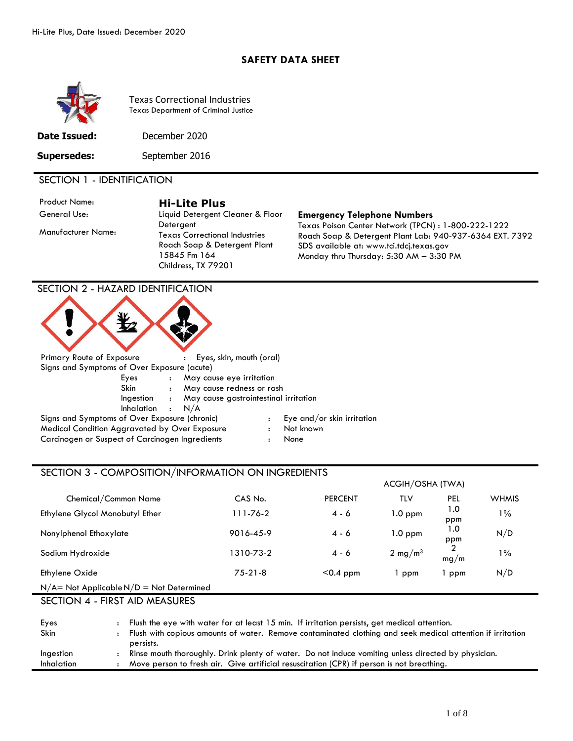## **SAFETY DATA SHEET**



Texas Correctional Industries Texas Department of Criminal Justice

**Date Issued:** December 2020

**Supersedes:** September 2016

## SECTION 1 - IDENTIFICATION

Manufacturer Name:

Product Name: **Hi-Lite Plus** General Use: Liquid Detergent Cleaner & Floor **Detergent** Texas Correctional Industries Roach Soap & Detergent Plant 15845 Fm 164 Childress, TX 79201

#### **Emergency Telephone Numbers**

Texas Poison Center Network (TPCN) : 1-800-222-1222 Roach Soap & Detergent Plant Lab: 940-937-6364 EXT. 7392 SDS available at: www.tci.tdcj.texas.gov Monday thru Thursday: 5:30 AM – 3:30 PM

## SECTION 2 - HAZARD IDENTIFICATION



Signs and Symptoms of Over Exposure (chronic) : Eye and/or skin irritation Medical Condition Aggravated by Over Exposure : Not known Carcinogen or Suspect of Carcinogen Ingredients : None

- 
- 
- 

## SECTION 3 - COMPOSITION/INFORMATION ON INGREDIENTS

|                                               |           |                | ACGIH/OSHA (TWA)    |            |              |
|-----------------------------------------------|-----------|----------------|---------------------|------------|--------------|
| Chemical/Common Name                          | CAS No.   | <b>PERCENT</b> | TLV                 | PEL        | <b>WHMIS</b> |
| Ethylene Glycol Monobutyl Ether               | 111-76-2  | 4 - 6          | 1.0 ppm             | 1.0<br>ppm | $1\%$        |
| Nonylphenol Ethoxylate                        | 9016-45-9 | 4 - 6          | $1.0$ ppm           | 1.0<br>ppm | N/D          |
| Sodium Hydroxide                              | 1310-73-2 | 4 - 6          | 2 mg/m <sup>3</sup> | mg/m       | $1\%$        |
| Ethylene Oxide                                | $75-21-8$ | $< 0.4$ ppm    | ppm                 | ppm        | N/D          |
| $N/A$ = Not Applicable $N/D$ = Not Determined |           |                |                     |            |              |

SECTION 4 - FIRST AID MEASURES

| Eyes              | Flush the eye with water for at least 15 min. If irritation persists, get medical attention.               |
|-------------------|------------------------------------------------------------------------------------------------------------|
| Skin              | Flush with copious amounts of water. Remove contaminated clothing and seek medical attention if irritation |
|                   | persists.                                                                                                  |
| Ingestion         | Rinse mouth thoroughly. Drink plenty of water. Do not induce vomiting unless directed by physician.        |
| <b>Inhalation</b> | Move person to fresh air. Give artificial resuscitation (CPR) if person is not breathing.                  |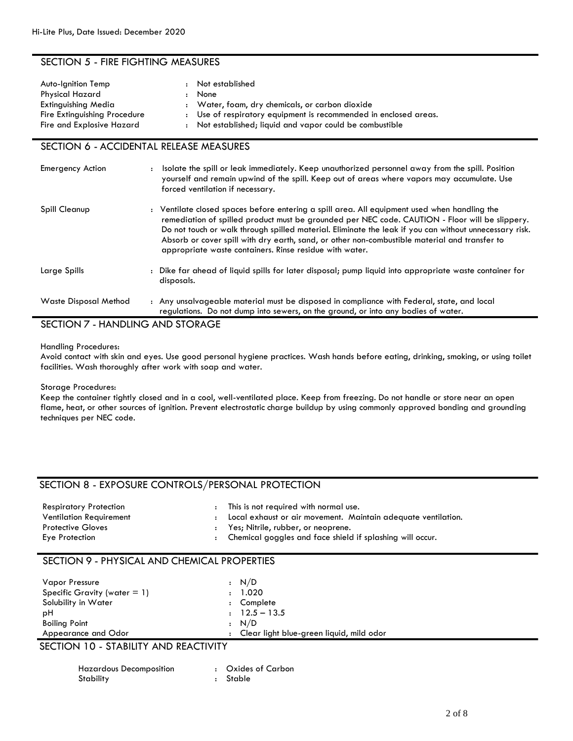## SECTION 5 - FIRE FIGHTING MEASURES

| Auto-Ignition Temp<br>Physical Hazard<br>Extinguishing Media | : Not established<br>None<br>: Water, foam, dry chemicals, or carbon dioxide                                                 |
|--------------------------------------------------------------|------------------------------------------------------------------------------------------------------------------------------|
| Fire Extinguishing Procedure<br>Fire and Explosive Hazard    | : Use of respiratory equipment is recommended in enclosed areas.<br>: Not established; liquid and vapor could be combustible |

## SECTION 6 - ACCIDENTAL RELEASE MEASURES

| <b>Emergency Action</b> | Isolate the spill or leak immediately. Keep unauthorized personnel away from the spill. Position<br>yourself and remain upwind of the spill. Keep out of areas where vapors may accumulate. Use<br>forced ventilation if necessary.                                                                                                                                                                                                                                   |
|-------------------------|-----------------------------------------------------------------------------------------------------------------------------------------------------------------------------------------------------------------------------------------------------------------------------------------------------------------------------------------------------------------------------------------------------------------------------------------------------------------------|
| Spill Cleanup           | : Ventilate closed spaces before entering a spill area. All equipment used when handling the<br>remediation of spilled product must be grounded per NEC code. CAUTION - Floor will be slippery.<br>Do not touch or walk through spilled material. Eliminate the leak if you can without unnecessary risk.<br>Absorb or cover spill with dry earth, sand, or other non-combustible material and transfer to<br>appropriate waste containers. Rinse residue with water. |
| Large Spills            | : Dike far ahead of liquid spills for later disposal; pump liquid into appropriate waste container for<br>disposals.                                                                                                                                                                                                                                                                                                                                                  |
| Waste Disposal Method   | : Any unsalvageable material must be disposed in compliance with Federal, state, and local<br>regulations. Do not dump into sewers, on the ground, or into any bodies of water.                                                                                                                                                                                                                                                                                       |

# SECTION 7 - HANDLING AND STORAGE

Handling Procedures:

Avoid contact with skin and eyes. Use good personal hygiene practices. Wash hands before eating, drinking, smoking, or using toilet facilities. Wash thoroughly after work with soap and water.

Storage Procedures:

Keep the container tightly closed and in a cool, well-ventilated place. Keep from freezing. Do not handle or store near an open flame, heat, or other sources of ignition. Prevent electrostatic charge buildup by using commonly approved bonding and grounding techniques per NEC code.

## SECTION 8 - EXPOSURE CONTROLS/PERSONAL PROTECTION

| <b>Respiratory Protection</b>  | This is not required with normal use.                         |
|--------------------------------|---------------------------------------------------------------|
| <b>Ventilation Requirement</b> | Local exhaust or air movement. Maintain adequate ventilation. |
| <b>Protective Gloves</b>       | Yes; Nitrile, rubber, or neoprene.                            |
| Eye Protection                 | Chemical goggles and face shield if splashing will occur.     |

## SECTION 9 - PHYSICAL AND CHEMICAL PROPERTIES

| Vapor Pressure                      | : N/D                                    |  |
|-------------------------------------|------------------------------------------|--|
| Specific Gravity (water $= 1$ )     | 1.020                                    |  |
| Solubility in Water                 | Complete                                 |  |
| рH                                  | $: 12.5 - 13.5$                          |  |
| <b>Boiling Point</b>                | : N/D                                    |  |
| Appearance and Odor                 | Clear light blue-green liquid, mild odor |  |
| CFCTHON110. CTAD11T111D10T10T111T11 |                                          |  |

SECTION 10 - STABILITY AND REACTIVITY

| Hazardous Decomposition | : Oxides of Carbon |
|-------------------------|--------------------|
| Stability               | : Stable           |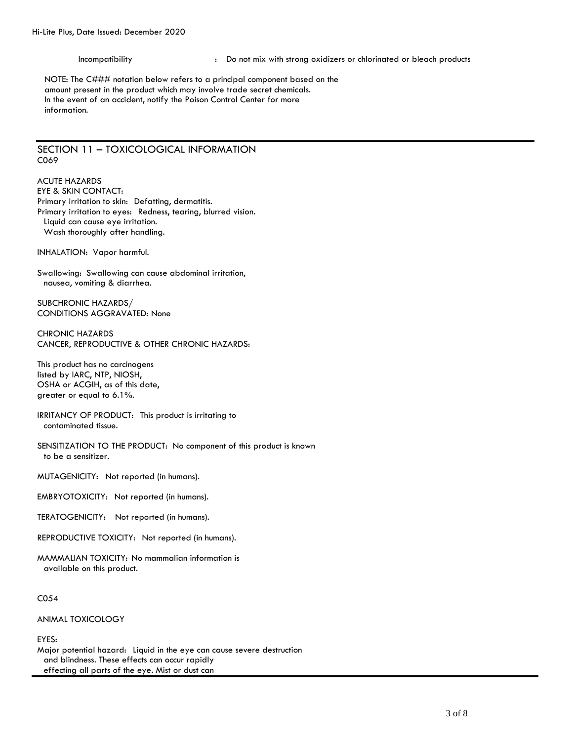Incompatibility **incompatibility** : Do not mix with strong oxidizers or chlorinated or bleach products

NOTE: The C### notation below refers to a principal component based on the amount present in the product which may involve trade secret chemicals. In the event of an accident, notify the Poison Control Center for more information.

## SECTION 11 – TOXICOLOGICAL INFORMATION C069

ACUTE HAZARDS EYE & SKIN CONTACT: Primary irritation to skin: Defatting, dermatitis. Primary irritation to eyes: Redness, tearing, blurred vision. Liquid can cause eye irritation. Wash thoroughly after handling.

INHALATION: Vapor harmful.

Swallowing: Swallowing can cause abdominal irritation, nausea, vomiting & diarrhea.

SUBCHRONIC HAZARDS/ CONDITIONS AGGRAVATED: None

CHRONIC HAZARDS CANCER, REPRODUCTIVE & OTHER CHRONIC HAZARDS:

This product has no carcinogens listed by IARC, NTP, NIOSH, OSHA or ACGIH, as of this date, greater or equal to 6.1%.

IRRITANCY OF PRODUCT: This product is irritating to contaminated tissue.

SENSITIZATION TO THE PRODUCT: No component of this product is known to be a sensitizer.

MUTAGENICITY: Not reported (in humans).

EMBRYOTOXICITY: Not reported (in humans).

TERATOGENICITY: Not reported (in humans).

REPRODUCTIVE TOXICITY: Not reported (in humans).

MAMMALIAN TOXICITY: No mammalian information is available on this product.

C054

ANIMAL TOXICOLOGY

EYES:

Major potential hazard: Liquid in the eye can cause severe destruction and blindness. These effects can occur rapidly effecting all parts of the eye. Mist or dust can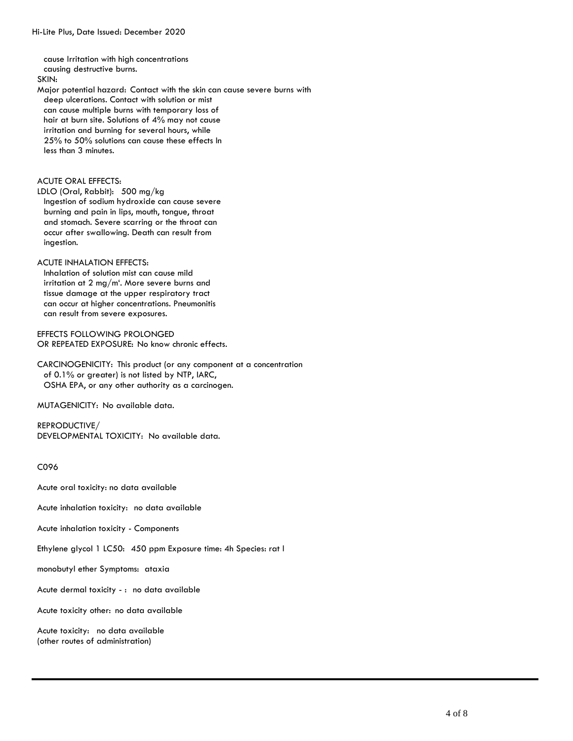cause Irritation with high concentrations causing destructive burns. SKIN: Major potential hazard: Contact with the skin can cause severe burns with deep ulcerations. Contact with solution or mist can cause multiple burns with temporary loss of hair at burn site. Solutions of 4% may not cause irritation and burning for several hours, while 25% to 50% solutions can cause these effects In less than 3 minutes.

### ACUTE ORAL EFFECTS:

LDLO (Oral, Rabbit): 500 mg/kg

Ingestion of sodium hydroxide can cause severe burning and pain in lips, mouth, tongue, throat and stomach. Severe scarring or the throat can occur after swallowing. Death can result from ingestion.

#### ACUTE INHALATION EFFECTS:

Inhalation of solution mist can cause mild irritation at 2 mg/m'. More severe burns and tissue damage at the upper respiratory tract can occur at higher concentrations. Pneumonitis can result from severe exposures.

EFFECTS FOLLOWING PROLONGED OR REPEATED EXPOSURE: No know chronic effects.

CARCINOGENICITY: This product (or any component at a concentration of 0.1% or greater) is not listed by NTP, IARC, OSHA EPA, or any other authority as a carcinogen.

MUTAGENICITY: No available data.

REPRODUCTIVE/ DEVELOPMENTAL TOXICITY: No available data.

C096

Acute oral toxicity: no data available

Acute inhalation toxicity: no data available

Acute inhalation toxicity - Components

Ethylene glycol 1 LC50: 450 ppm Exposure time: 4h Species: rat l

monobutyl ether Symptoms: ataxia

Acute dermal toxicity - : no data available

Acute toxicity other: no data available

Acute toxicity: no data available (other routes of administration)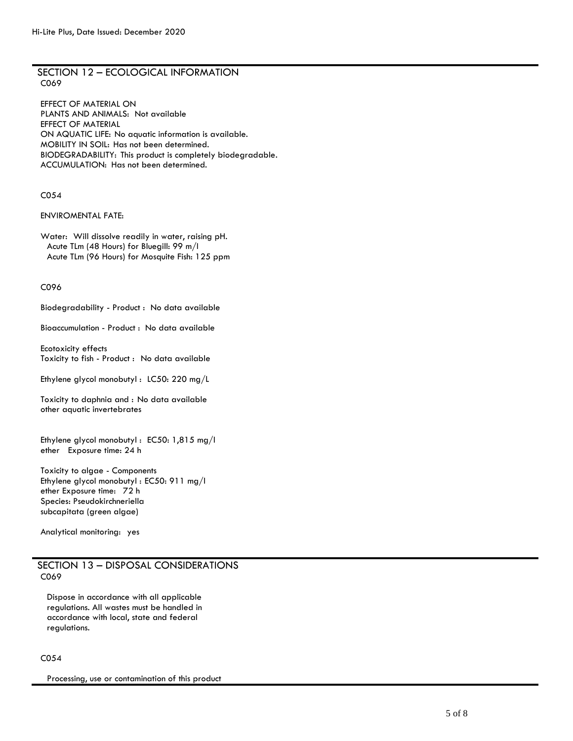## SECTION 12 – ECOLOGICAL INFORMATION C069

EFFECT OF MATERIAL ON PLANTS AND ANIMALS: Not available EFFECT OF MATERIAL ON AQUATIC LIFE: No aquatic information is available. MOBILITY IN SOIL: Has not been determined. BIODEGRADABILITY: This product is completely biodegradable. ACCUMULATION: Has not been determined.

### C054

## ENVIROMENTAL FATE:

Water: Will dissolve readily in water, raising pH. Acute TLm (48 Hours) for Bluegill: 99 m/I Acute TLm (96 Hours) for Mosquite Fish: 125 ppm

#### C096

Biodegradability - Product : No data available

Bioaccumulation - Product : No data available

Ecotoxicity effects Toxicity to fish - Product : No data available

Ethylene glycol monobutyl : LC50: 220 mg/L

Toxicity to daphnia and : No data available other aquatic invertebrates

Ethylene glycol monobutyl : EC50: 1,815 mg/l ether Exposure time: 24 h

Toxicity to algae - Components Ethylene glycol monobutyl : EC50: 911 mg/l ether Exposure time: 72 h Species: Pseudokirchneriella subcapitata (green algae)

Analytical monitoring: yes

## SECTION 13 – DISPOSAL CONSIDERATIONS C069

Dispose in accordance with all applicable regulations. All wastes must be handled in accordance with local, state and federal regulations.

## C054

Processing, use or contamination of this product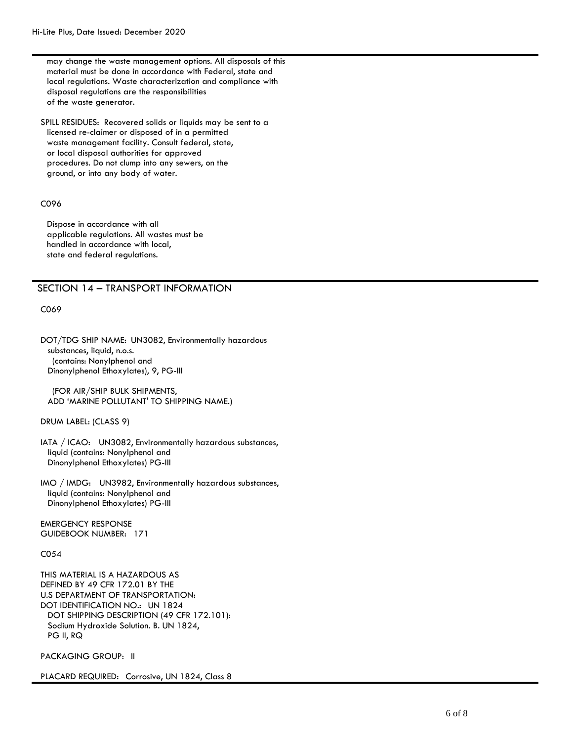may change the waste management options. All disposals of this material must be done in accordance with Federal, state and local regulations. Waste characterization and compliance with disposal regulations are the responsibilities of the waste generator.

SPILL RESIDUES: Recovered solids or liquids may be sent to a licensed re-claimer or disposed of in a permitted waste management facility. Consult federal, state, or local disposal authorities for approved procedures. Do not clump into any sewers, on the ground, or into any body of water.

#### C096

Dispose in accordance with all applicable regulations. All wastes must be handled in accordance with local, state and federal regulations.

### SECTION 14 – TRANSPORT INFORMATION

C069

DOT/TDG SHIP NAME: UN3082, Environmentally hazardous substances, liquid, n.o.s. (contains: Nonylphenol and Dinonylphenol Ethoxylates), 9, PG-III

(FOR AIR/SHIP BULK SHIPMENTS, ADD 'MARINE POLLUTANT' TO SHIPPING NAME.)

DRUM LABEL: (CLASS 9)

IATA / ICAO: UN3082, Environmentally hazardous substances, liquid (contains: Nonylphenol and Dinonylphenol Ethoxylates) PG-III

IMO / IMDG: UN3982, Environmentally hazardous substances, liquid (contains: Nonylphenol and Dinonylphenol Ethoxylates) PG-III

EMERGENCY RESPONSE GUIDEBOOK NUMBER: 171

C054

THIS MATERIAL IS A HAZARDOUS AS DEFINED BY 49 CFR 172.01 BY THE U.S DEPARTMENT OF TRANSPORTATION: DOT IDENTIFICATION NO.: UN 1824 DOT SHIPPING DESCRIPTION (49 CFR 172.101): Sodium Hydroxide Solution. B. UN 1824, PG II, RQ

PACKAGING GROUP: II

PLACARD REQUIRED: Corrosive, UN 1824, Class 8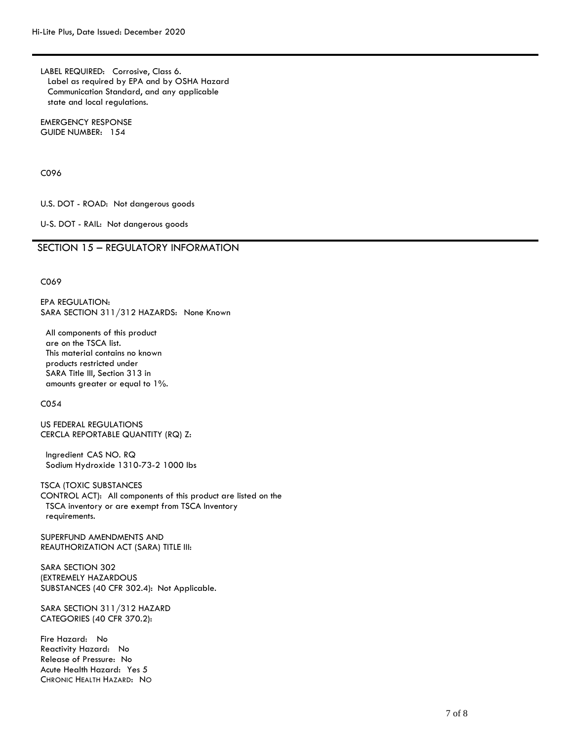LABEL REQUIRED: Corrosive, Class 6. Label as required by EPA and by OSHA Hazard Communication Standard, and any applicable state and local regulations.

EMERGENCY RESPONSE GUIDE NUMBER: 154

C096

U.S. DOT - ROAD: Not dangerous goods

U-S. DOT - RAIL: Not dangerous goods

## SECTION 15 – REGULATORY INFORMATION

C069

EPA REGULATION: SARA SECTION 311/312 HAZARDS: None Known

All components of this product are on the TSCA list. This material contains no known products restricted under SARA Title III, Section 313 in amounts greater or equal to 1%.

C054

US FEDERAL REGULATIONS CERCLA REPORTABLE QUANTITY (RQ) Z:

Ingredient CAS NO. RQ Sodium Hydroxide 1310-73-2 1000 lbs

TSCA (TOXIC SUBSTANCES CONTROL ACT): All components of this product are listed on the TSCA inventory or are exempt from TSCA Inventory requirements.

SUPERFUND AMENDMENTS AND REAUTHORIZATION ACT (SARA) TITLE III:

SARA SECTION 302 (EXTREMELY HAZARDOUS SUBSTANCES (40 CFR 302.4): Not Applicable.

SARA SECTION 311/312 HAZARD CATEGORIES (40 CFR 370.2):

Fire Hazard: No Reactivity Hazard: No Release of Pressure: No Acute Health Hazard: Yes 5 CHRONIC HEALTH HAZARD: NO